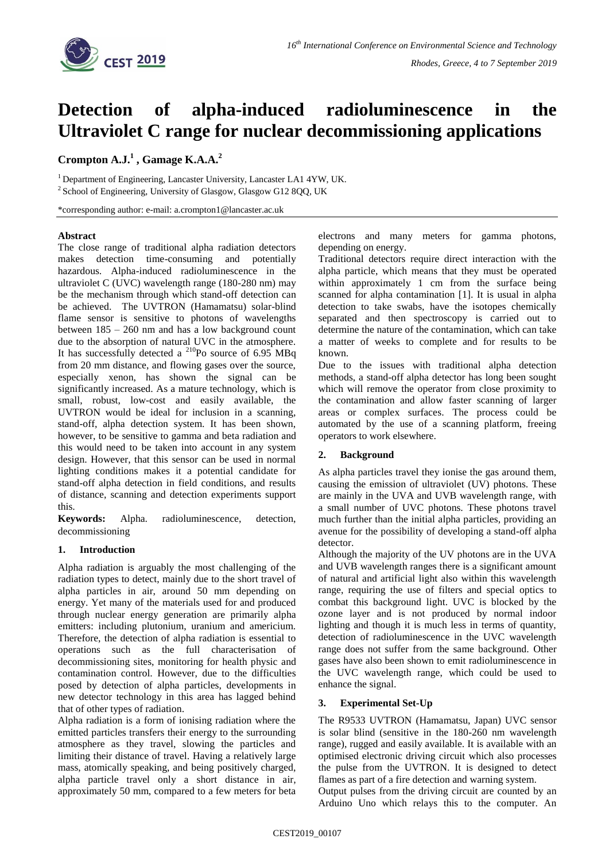

# **Detection of alpha-induced radioluminescence in the Ultraviolet C range for nuclear decommissioning applications**

## **Crompton A.J.<sup>1</sup> , Gamage K.A.A.<sup>2</sup>**

<sup>1</sup> Department of Engineering, Lancaster University, Lancaster LA1 4YW, UK. <sup>2</sup> School of Engineering, University of Glasgow, Glasgow G12 8QQ, UK

\*corresponding author: e-mail: a.crompton1@lancaster.ac.uk

## **Abstract**

The close range of traditional alpha radiation detectors makes detection time-consuming and potentially hazardous. Alpha-induced radioluminescence in the ultraviolet C (UVC) wavelength range (180-280 nm) may be the mechanism through which stand-off detection can be achieved. The UVTRON (Hamamatsu) solar-blind flame sensor is sensitive to photons of wavelengths between 185 – 260 nm and has a low background count due to the absorption of natural UVC in the atmosphere. It has successfully detected a  $^{210}$ Po source of 6.95 MBq from 20 mm distance, and flowing gases over the source, especially xenon, has shown the signal can be significantly increased. As a mature technology, which is small, robust, low-cost and easily available, the UVTRON would be ideal for inclusion in a scanning, stand-off, alpha detection system. It has been shown, however, to be sensitive to gamma and beta radiation and this would need to be taken into account in any system design. However, that this sensor can be used in normal lighting conditions makes it a potential candidate for stand-off alpha detection in field conditions, and results of distance, scanning and detection experiments support this.

**Keywords:** Alpha. radioluminescence, detection, decommissioning

## **1. Introduction**

Alpha radiation is arguably the most challenging of the radiation types to detect, mainly due to the short travel of alpha particles in air, around 50 mm depending on energy. Yet many of the materials used for and produced through nuclear energy generation are primarily alpha emitters: including plutonium, uranium and americium. Therefore, the detection of alpha radiation is essential to operations such as the full characterisation of decommissioning sites, monitoring for health physic and contamination control. However, due to the difficulties posed by detection of alpha particles, developments in new detector technology in this area has lagged behind that of other types of radiation.

Alpha radiation is a form of ionising radiation where the emitted particles transfers their energy to the surrounding atmosphere as they travel, slowing the particles and limiting their distance of travel. Having a relatively large mass, atomically speaking, and being positively charged, alpha particle travel only a short distance in air, approximately 50 mm, compared to a few meters for beta electrons and many meters for gamma photons, depending on energy.

Traditional detectors require direct interaction with the alpha particle, which means that they must be operated within approximately 1 cm from the surface being scanned for alpha contamination [1]. It is usual in alpha detection to take swabs, have the isotopes chemically separated and then spectroscopy is carried out to determine the nature of the contamination, which can take a matter of weeks to complete and for results to be known.

Due to the issues with traditional alpha detection methods, a stand-off alpha detector has long been sought which will remove the operator from close proximity to the contamination and allow faster scanning of larger areas or complex surfaces. The process could be automated by the use of a scanning platform, freeing operators to work elsewhere.

## **2. Background**

As alpha particles travel they ionise the gas around them, causing the emission of ultraviolet (UV) photons. These are mainly in the UVA and UVB wavelength range, with a small number of UVC photons. These photons travel much further than the initial alpha particles, providing an avenue for the possibility of developing a stand-off alpha detector.

Although the majority of the UV photons are in the UVA and UVB wavelength ranges there is a significant amount of natural and artificial light also within this wavelength range, requiring the use of filters and special optics to combat this background light. UVC is blocked by the ozone layer and is not produced by normal indoor lighting and though it is much less in terms of quantity, detection of radioluminescence in the UVC wavelength range does not suffer from the same background. Other gases have also been shown to emit radioluminescence in the UVC wavelength range, which could be used to enhance the signal.

## **3. Experimental Set-Up**

The R9533 UVTRON (Hamamatsu, Japan) UVC sensor is solar blind (sensitive in the 180-260 nm wavelength range), rugged and easily available. It is available with an optimised electronic driving circuit which also processes the pulse from the UVTRON. It is designed to detect flames as part of a fire detection and warning system.

Output pulses from the driving circuit are counted by an Arduino Uno which relays this to the computer. An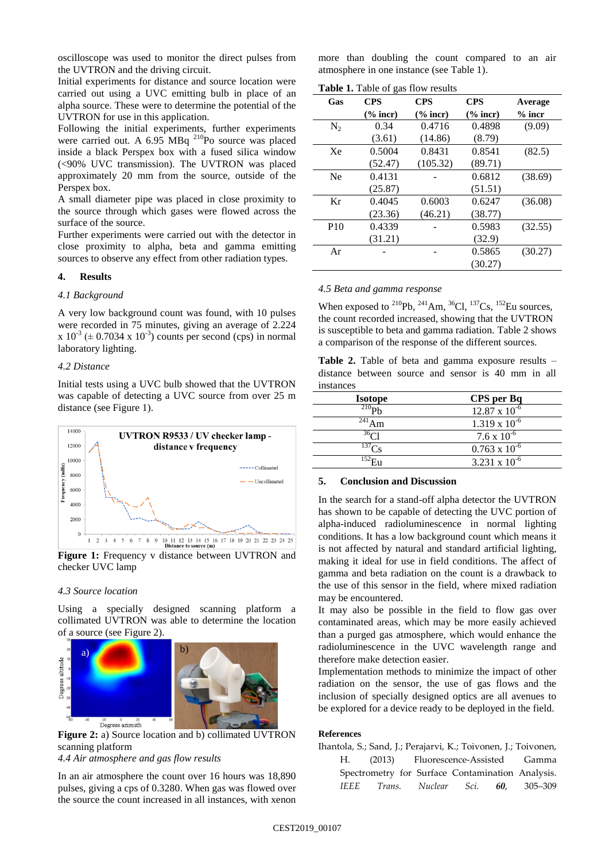oscilloscope was used to monitor the direct pulses from the UVTRON and the driving circuit.

Initial experiments for distance and source location were carried out using a UVC emitting bulb in place of an alpha source. These were to determine the potential of the UVTRON for use in this application.

Following the initial experiments, further experiments were carried out. A 6.95 MBq <sup>210</sup>Po source was placed inside a black Perspex box with a fused silica window (<90% UVC transmission). The UVTRON was placed approximately 20 mm from the source, outside of the Perspex box.

A small diameter pipe was placed in close proximity to the source through which gases were flowed across the surface of the source.

Further experiments were carried out with the detector in close proximity to alpha, beta and gamma emitting sources to observe any effect from other radiation types.

## **4. Results**

#### *4.1 Background*

A very low background count was found, with 10 pulses were recorded in 75 minutes, giving an average of 2.224  $x 10^{-3}$  ( $\pm$  0.7034 x 10<sup>-3</sup>) counts per second (cps) in normal laboratory lighting.

#### *4.2 Distance*

Initial tests using a UVC bulb showed that the UVTRON was capable of detecting a UVC source from over 25 m distance (see Figure 1).



**Figure 1:** Frequency v distance between UVTRON and checker UVC lamp

#### *4.3 Source location*

Using a specially designed scanning platform a collimated UVTRON was able to determine the location of a source (see Figure 2).



**Figure 2:** a) Source location and b) collimated UVTRON scanning platform

*4.4 Air atmosphere and gas flow results*

In an air atmosphere the count over 16 hours was 18,890 pulses, giving a cps of 0.3280. When gas was flowed over the source the count increased in all instances, with xenon more than doubling the count compared to an air atmosphere in one instance (see Table 1).

**Table 1.** Table of gas flow results

| Gas             | $\sim$ $\sim$<br><b>CPS</b> | <b>CPS</b>          | <b>CPS</b>  |          |
|-----------------|-----------------------------|---------------------|-------------|----------|
|                 |                             |                     |             | Average  |
|                 | $\frac{6}{6}$ incr)         | $\frac{6}{6}$ incr) | $(\%$ incr) | $%$ incr |
| $N_{2}$         | 0.34                        | 0.4716              | 0.4898      | (9.09)   |
|                 | (3.61)                      | (14.86)             | (8.79)      |          |
| Xe              | 0.5004                      | 0.8431              | 0.8541      | (82.5)   |
|                 | (52.47)                     | (105.32)            | (89.71)     |          |
| Ne              | 0.4131                      |                     | 0.6812      | (38.69)  |
|                 | (25.87)                     |                     | (51.51)     |          |
| Kr              | 0.4045                      | 0.6003              | 0.6247      | (36.08)  |
|                 | (23.36)                     | (46.21)             | (38.77)     |          |
| P <sub>10</sub> | 0.4339                      |                     | 0.5983      | (32.55)  |
|                 | (31.21)                     |                     | (32.9)      |          |
| Ar              |                             |                     | 0.5865      | (30.27)  |
|                 |                             |                     | (30.27)     |          |

## *4.5 Beta and gamma response*

When exposed to <sup>210</sup>Pb, <sup>241</sup>Am, <sup>36</sup>Cl, <sup>137</sup>Cs, <sup>152</sup>Eu sources, the count recorded increased, showing that the UVTRON is susceptible to beta and gamma radiation. Table 2 shows a comparison of the response of the different sources.

**Table 2.** Table of beta and gamma exposure results – distance between source and sensor is 40 mm in all instances

| <b>Isotope</b>   | CPS per Bq             |
|------------------|------------------------|
| $^{210}$ Ph      | $12.87 \times 10^{-6}$ |
| 241<br>Am        | $1.319 \times 10^{-6}$ |
| 36 <sub>Cl</sub> | $7.6 \times 10^{-6}$   |
| $^{137}$ Cs      | $0.763 \times 10^{-6}$ |
| 152 <sub>H</sub> | 3.231 x $10^{-6}$      |
|                  |                        |

#### **5. Conclusion and Discussion**

In the search for a stand-off alpha detector the UVTRON has shown to be capable of detecting the UVC portion of alpha-induced radioluminescence in normal lighting conditions. It has a low background count which means it is not affected by natural and standard artificial lighting, making it ideal for use in field conditions. The affect of gamma and beta radiation on the count is a drawback to the use of this sensor in the field, where mixed radiation may be encountered.

It may also be possible in the field to flow gas over contaminated areas, which may be more easily achieved than a purged gas atmosphere, which would enhance the radioluminescence in the UVC wavelength range and therefore make detection easier.

Implementation methods to minimize the impact of other radiation on the sensor, the use of gas flows and the inclusion of specially designed optics are all avenues to be explored for a device ready to be deployed in the field.

#### **References**

Ihantola, S.; Sand, J.; Perajarvi, K.; Toivonen, J.; Toivonen, H. (2013) Fluorescence-Assisted Gamma Spectrometry for Surface Contamination Analysis. *IEEE Trans. Nuclear Sci. 60*, 305–309